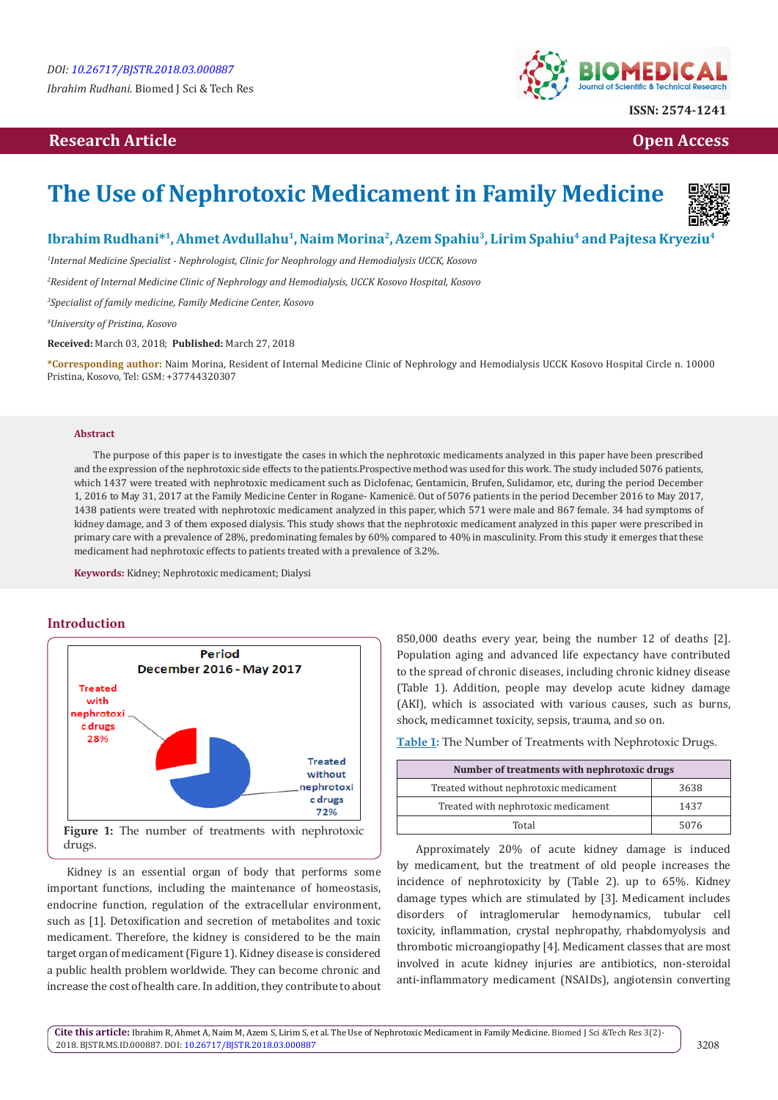# **Research Article Open Access Contract Article Open Access Open Access Open Access**



# **The Use of Nephrotoxic Medicament in Family Medicine**



## Ibrahim Rudhani<sup>\*1</sup>, Ahmet Avdullahu<sup>1</sup>, Naim Morina<sup>2</sup>, Azem Spahiu<sup>3</sup>, Lirim Spahiu<sup>4</sup> and Pajtesa Kryeziu<sup>4</sup>

*1 Internal Medicine Specialist - Nephrologist, Clinic for Neophrology and Hemodialysis UCCK, Kosovo*

*2 Resident of Internal Medicine Clinic of Nephrology and Hemodialysis, UCCK Kosovo Hospital, Kosovo*

*3 Specialist of family medicine, Family Medicine Center, Kosovo*

*4 University of Pristina, Kosovo*

**Received:** March 03, 2018; **Published:** March 27, 2018

**\*Corresponding author:** Naim Morina, Resident of Internal Medicine Clinic of Nephrology and Hemodialysis UCCK Kosovo Hospital Circle n. 10000 Pristina, Kosovo, Tel: GSM: +37744320307

#### **Abstract**

The purpose of this paper is to investigate the cases in which the nephrotoxic medicaments analyzed in this paper have been prescribed and the expression of the nephrotoxic side effects to the patients.Prospective method was used for this work. The study included 5076 patients, which 1437 were treated with nephrotoxic medicament such as Diclofenac, Gentamicin, Brufen, Sulidamor, etc, during the period December 1, 2016 to May 31, 2017 at the Family Medicine Center in Rogane- Kamenicë. Out of 5076 patients in the period December 2016 to May 2017, 1438 patients were treated with nephrotoxic medicament analyzed in this paper, which 571 were male and 867 female. 34 had symptoms of kidney damage, and 3 of them exposed dialysis. This study shows that the nephrotoxic medicament analyzed in this paper were prescribed in primary care with a prevalence of 28%, predominating females by 60% compared to 40% in masculinity. From this study it emerges that these medicament had nephrotoxic effects to patients treated with a prevalence of 3.2%.

**Keywords:** Kidney; Nephrotoxic medicament; Dialysi

## **Introduction**



Kidney is an essential organ of body that performs some important functions, including the maintenance of homeostasis, endocrine function, regulation of the extracellular environment, such as [1]. Detoxification and secretion of metabolites and toxic medicament. Therefore, the kidney is considered to be the main target organ of medicament (Figure 1). Kidney disease is considered a public health problem worldwide. They can become chronic and increase the cost of health care. In addition, they contribute to about 850,000 deaths every year, being the number 12 of deaths [2]. Population aging and advanced life expectancy have contributed to the spread of chronic diseases, including chronic kidney disease (Table 1). Addition, people may develop acute kidney damage (AKI), which is associated with various causes, such as burns, shock, medicamnet toxicity, sepsis, trauma, and so on.

**Table 1:** The Number of Treatments with Nephrotoxic Drugs.

| Number of treatments with nephrotoxic drugs |      |  |  |
|---------------------------------------------|------|--|--|
| Treated without nephrotoxic medicament      | 3638 |  |  |
| Treated with nephrotoxic medicament         | 1437 |  |  |
| Total                                       | 5076 |  |  |

Approximately 20% of acute kidney damage is induced by medicament, but the treatment of old people increases the incidence of nephrotoxicity by (Table 2). up to 65%. Kidney damage types which are stimulated by [3]. Medicament includes disorders of intraglomerular hemodynamics, tubular cell toxicity, inflammation, crystal nephropathy, rhabdomyolysis and thrombotic microangiopathy [4]. Medicament classes that are most involved in acute kidney injuries are antibiotics, non-steroidal anti-inflammatory medicament (NSAIDs), angiotensin converting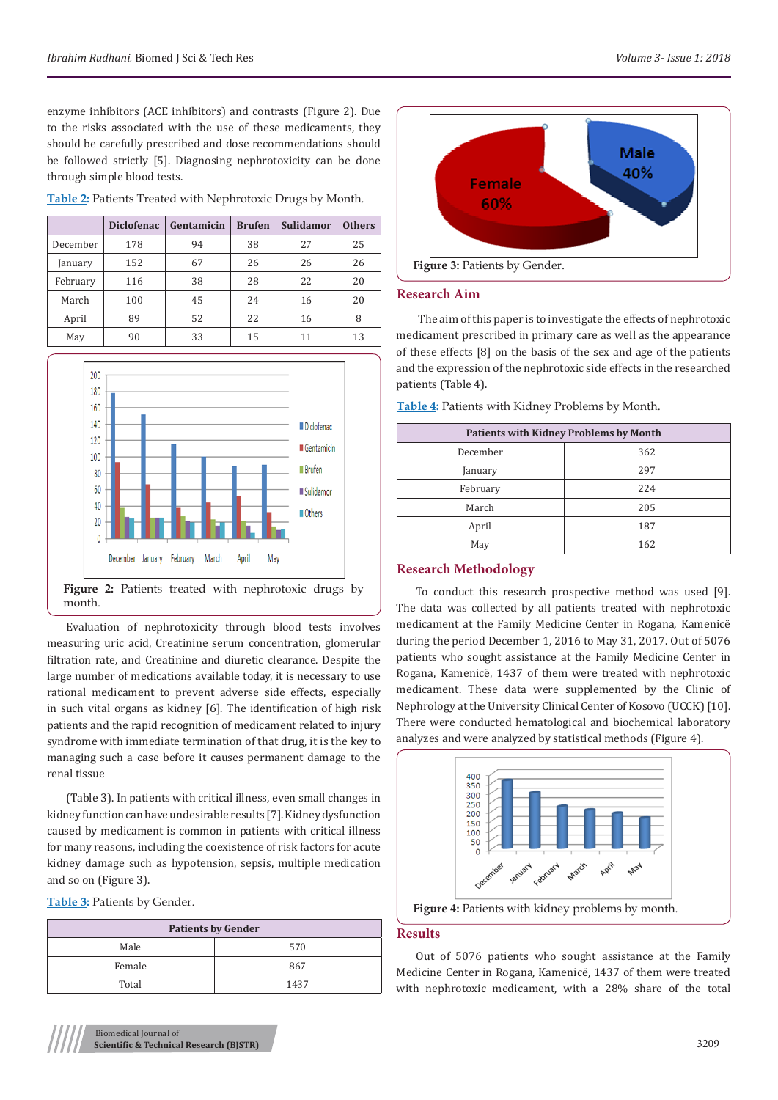enzyme inhibitors (ACE inhibitors) and contrasts (Figure 2). Due to the risks associated with the use of these medicaments, they should be carefully prescribed and dose recommendations should be followed strictly [5]. Diagnosing nephrotoxicity can be done through simple blood tests.

| Table 2: Patients Treated with Nephrotoxic Drugs by Month. |  |  |  |
|------------------------------------------------------------|--|--|--|
|                                                            |  |  |  |

|          | <b>Diclofenac</b> | Gentamicin | <b>Brufen</b> | <b>Sulidamor</b> | <b>Others</b> |
|----------|-------------------|------------|---------------|------------------|---------------|
| December | 178               | 94         | 38            | 27               | 25            |
| January  | 152               | 67         | 26            | 26               | 26            |
| February | 116               | 38         | 28            | 22               | 20            |
| March    | 100               | 45         | 24            | 16               | 20            |
| April    | 89                | 52         | 22            | 16               | 8             |
| May      | 90                | 33         | 15            | 11               | 13            |



Figure 2: Patients treated with nephrotoxic drugs by month.

Evaluation of nephrotoxicity through blood tests involves measuring uric acid, Creatinine serum concentration, glomerular filtration rate, and Creatinine and diuretic clearance. Despite the large number of medications available today, it is necessary to use rational medicament to prevent adverse side effects, especially in such vital organs as kidney [6]. The identification of high risk patients and the rapid recognition of medicament related to injury syndrome with immediate termination of that drug, it is the key to managing such a case before it causes permanent damage to the renal tissue

(Table 3). In patients with critical illness, even small changes in kidney function can have undesirable results [7]. Kidney dysfunction caused by medicament is common in patients with critical illness for many reasons, including the coexistence of risk factors for acute kidney damage such as hypotension, sepsis, multiple medication and so on (Figure 3).

**Table 3:** Patients by Gender.

| <b>Patients by Gender</b> |      |  |
|---------------------------|------|--|
| Male                      | 570  |  |
| Female                    | 867  |  |
| Total                     | 1437 |  |



## **Research Aim**

 The aim of this paper is to investigate the effects of nephrotoxic medicament prescribed in primary care as well as the appearance of these effects [8] on the basis of the sex and age of the patients and the expression of the nephrotoxic side effects in the researched patients (Table 4).

| <b>Patients with Kidney Problems by Month</b> |  |  |  |
|-----------------------------------------------|--|--|--|
| 362                                           |  |  |  |
| 297                                           |  |  |  |
| 224                                           |  |  |  |
| 205                                           |  |  |  |
| 187                                           |  |  |  |
|                                               |  |  |  |

May 162

**Table 4:** Patients with Kidney Problems by Month.

## **Research Methodology**

To conduct this research prospective method was used [9]. The data was collected by all patients treated with nephrotoxic medicament at the Family Medicine Center in Rogana, Kamenicë during the period December 1, 2016 to May 31, 2017. Out of 5076 patients who sought assistance at the Family Medicine Center in Rogana, Kamenicë, 1437 of them were treated with nephrotoxic medicament. These data were supplemented by the Clinic of Nephrology at the University Clinical Center of Kosovo (UCCK) [10]. There were conducted hematological and biochemical laboratory analyzes and were analyzed by statistical methods (Figure 4).



#### **Results**

Out of 5076 patients who sought assistance at the Family Medicine Center in Rogana, Kamenicë, 1437 of them were treated with nephrotoxic medicament, with a 28% share of the total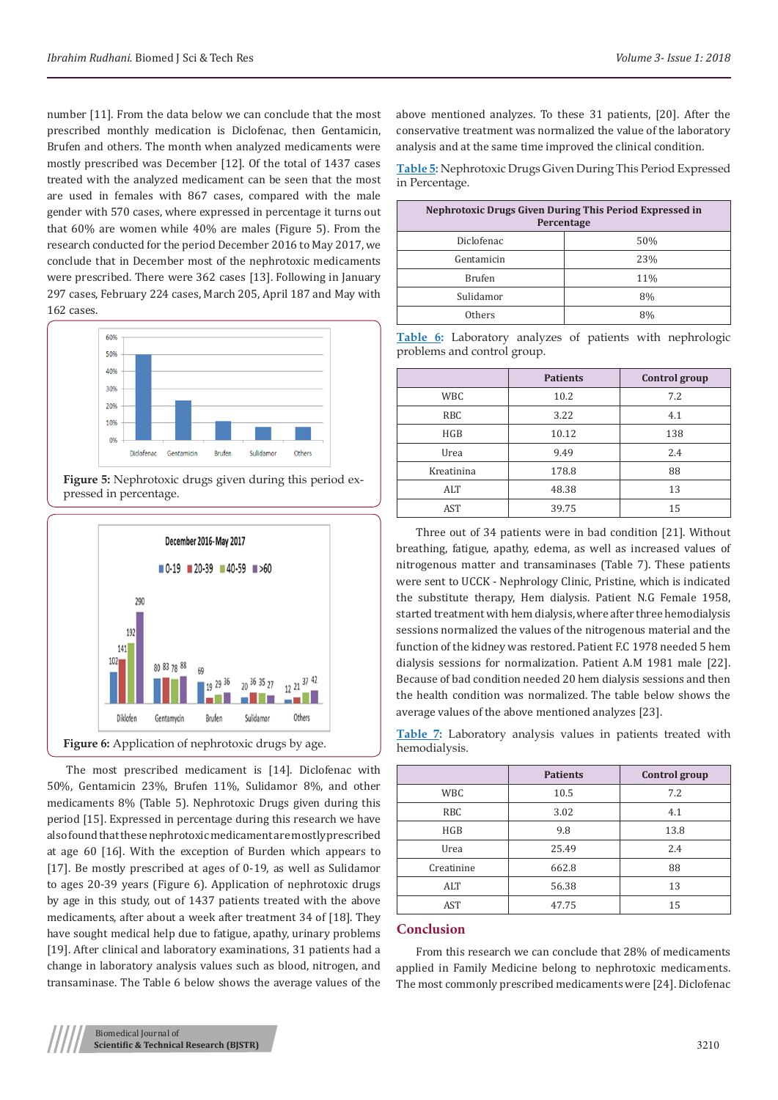number [11]. From the data below we can conclude that the most prescribed monthly medication is Diclofenac, then Gentamicin, Brufen and others. The month when analyzed medicaments were mostly prescribed was December [12]. Of the total of 1437 cases treated with the analyzed medicament can be seen that the most are used in females with 867 cases, compared with the male gender with 570 cases, where expressed in percentage it turns out that 60% are women while 40% are males (Figure 5). From the research conducted for the period December 2016 to May 2017, we conclude that in December most of the nephrotoxic medicaments were prescribed. There were 362 cases [13]. Following in January 297 cases, February 224 cases, March 205, April 187 and May with 162 cases.



**Figure 5:** Nephrotoxic drugs given during this period expressed in percentage.



The most prescribed medicament is [14]. Diclofenac with 50%, Gentamicin 23%, Brufen 11%, Sulidamor 8%, and other medicaments 8% (Table 5). Nephrotoxic Drugs given during this period [15]. Expressed in percentage during this research we have also found that these nephrotoxic medicament are mostly prescribed at age 60 [16]. With the exception of Burden which appears to [17]. Be mostly prescribed at ages of 0-19, as well as Sulidamor to ages 20-39 years (Figure 6). Application of nephrotoxic drugs by age in this study, out of 1437 patients treated with the above medicaments, after about a week after treatment 34 of [18]. They have sought medical help due to fatigue, apathy, urinary problems [19]. After clinical and laboratory examinations, 31 patients had a change in laboratory analysis values such as blood, nitrogen, and transaminase. The Table 6 below shows the average values of the above mentioned analyzes. To these 31 patients, [20]. After the conservative treatment was normalized the value of the laboratory analysis and at the same time improved the clinical condition.

**Table 5:** Nephrotoxic Drugs Given During This Period Expressed in Percentage.

| <b>Nephrotoxic Drugs Given During This Period Expressed in</b><br>Percentage |     |  |  |
|------------------------------------------------------------------------------|-----|--|--|
| Diclofenac                                                                   | 50% |  |  |
| Gentamicin                                                                   | 23% |  |  |
| <b>Brufen</b>                                                                | 11% |  |  |
| Sulidamor                                                                    | 8%  |  |  |
| Others                                                                       | 8%  |  |  |

**Table 6:** Laboratory analyzes of patients with nephrologic problems and control group.

|            | <b>Patients</b> | Control group |
|------------|-----------------|---------------|
| <b>WBC</b> | 10.2            | 7.2           |
| <b>RBC</b> | 3.22            | 4.1           |
| <b>HGB</b> | 10.12           | 138           |
| Urea       | 9.49            | 2.4           |
| Kreatinina | 178.8           | 88            |
| ALT        | 48.38           | 13            |
| AST        | 39.75           | 15            |

Three out of 34 patients were in bad condition [21]. Without breathing, fatigue, apathy, edema, as well as increased values of nitrogenous matter and transaminases (Table 7). These patients were sent to UCCK - Nephrology Clinic, Pristine, which is indicated the substitute therapy, Hem dialysis. Patient N.G Female 1958, started treatment with hem dialysis, where after three hemodialysis sessions normalized the values of the nitrogenous material and the function of the kidney was restored. Patient F.C 1978 needed 5 hem dialysis sessions for normalization. Patient A.M 1981 male [22]. Because of bad condition needed 20 hem dialysis sessions and then the health condition was normalized. The table below shows the average values of the above mentioned analyzes [23].

**Table 7:** Laboratory analysis values in patients treated with hemodialysis.

|            | <b>Patients</b> | Control group |
|------------|-----------------|---------------|
| <b>WBC</b> | 10.5            | 7.2           |
| <b>RBC</b> | 3.02            | 4.1           |
| HGB        | 9.8             | 13.8          |
| Urea       | 25.49           | 2.4           |
| Creatinine | 662.8           | 88            |
| ALT        | 56.38           | 13            |
| AST        | 47.75           | 15            |
|            |                 |               |

#### **Conclusion**

From this research we can conclude that 28% of medicaments applied in Family Medicine belong to nephrotoxic medicaments. The most commonly prescribed medicaments were [24]. Diclofenac